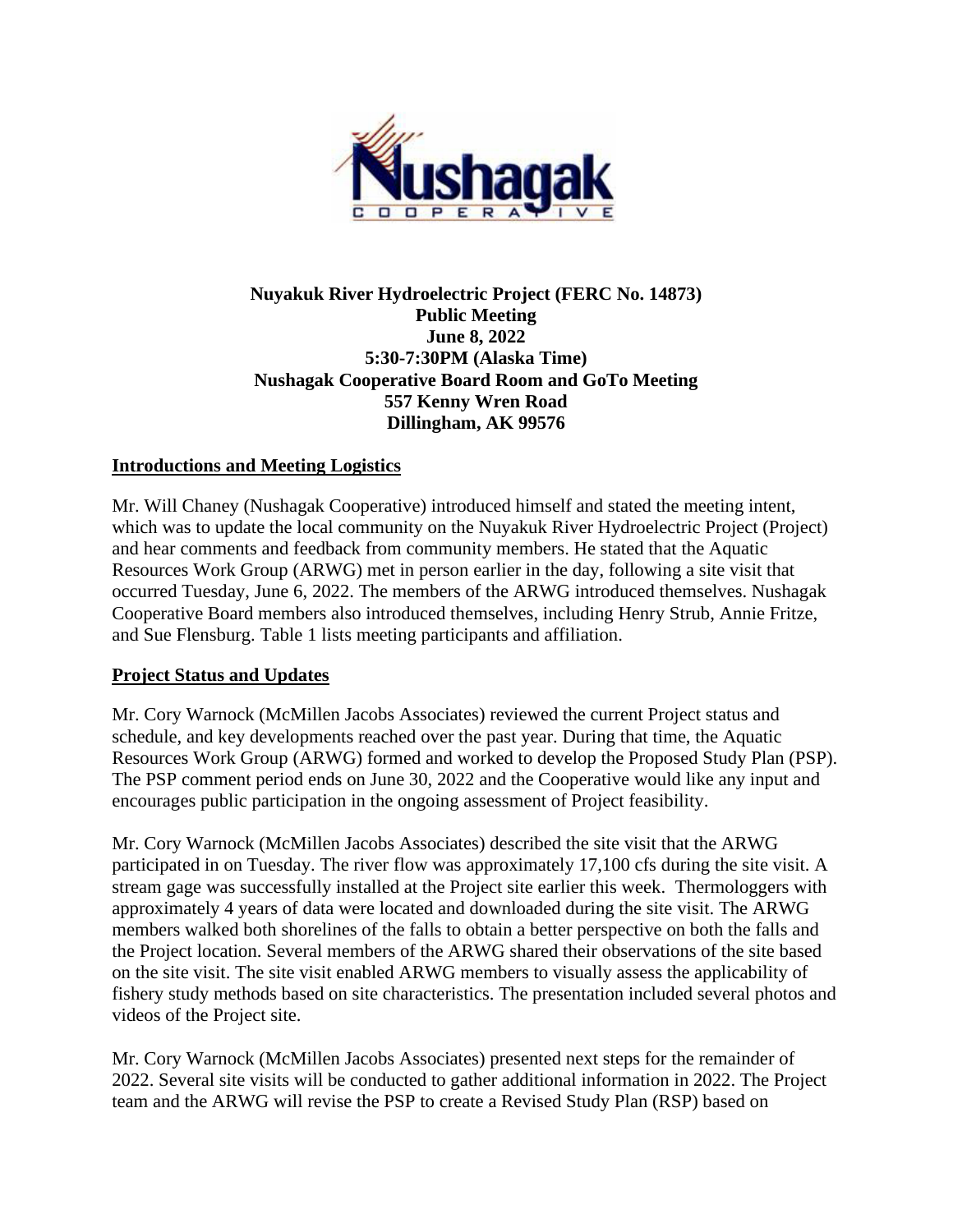

## **Nuyakuk River Hydroelectric Project (FERC No. 14873) Public Meeting June 8, 2022 5:30-7:30PM (Alaska Time) Nushagak Cooperative Board Room and GoTo Meeting 557 Kenny Wren Road Dillingham, AK 99576**

## **Introductions and Meeting Logistics**

Mr. Will Chaney (Nushagak Cooperative) introduced himself and stated the meeting intent, which was to update the local community on the Nuyakuk River Hydroelectric Project (Project) and hear comments and feedback from community members. He stated that the Aquatic Resources Work Group (ARWG) met in person earlier in the day, following a site visit that occurred Tuesday, June 6, 2022. The members of the ARWG introduced themselves. Nushagak Cooperative Board members also introduced themselves, including Henry Strub, Annie Fritze, and Sue Flensburg. Table 1 lists meeting participants and affiliation.

## **Project Status and Updates**

Mr. Cory Warnock (McMillen Jacobs Associates) reviewed the current Project status and schedule, and key developments reached over the past year. During that time, the Aquatic Resources Work Group (ARWG) formed and worked to develop the Proposed Study Plan (PSP). The PSP comment period ends on June 30, 2022 and the Cooperative would like any input and encourages public participation in the ongoing assessment of Project feasibility.

Mr. Cory Warnock (McMillen Jacobs Associates) described the site visit that the ARWG participated in on Tuesday. The river flow was approximately 17,100 cfs during the site visit. A stream gage was successfully installed at the Project site earlier this week. Thermologgers with approximately 4 years of data were located and downloaded during the site visit. The ARWG members walked both shorelines of the falls to obtain a better perspective on both the falls and the Project location. Several members of the ARWG shared their observations of the site based on the site visit. The site visit enabled ARWG members to visually assess the applicability of fishery study methods based on site characteristics. The presentation included several photos and videos of the Project site.

Mr. Cory Warnock (McMillen Jacobs Associates) presented next steps for the remainder of 2022. Several site visits will be conducted to gather additional information in 2022. The Project team and the ARWG will revise the PSP to create a Revised Study Plan (RSP) based on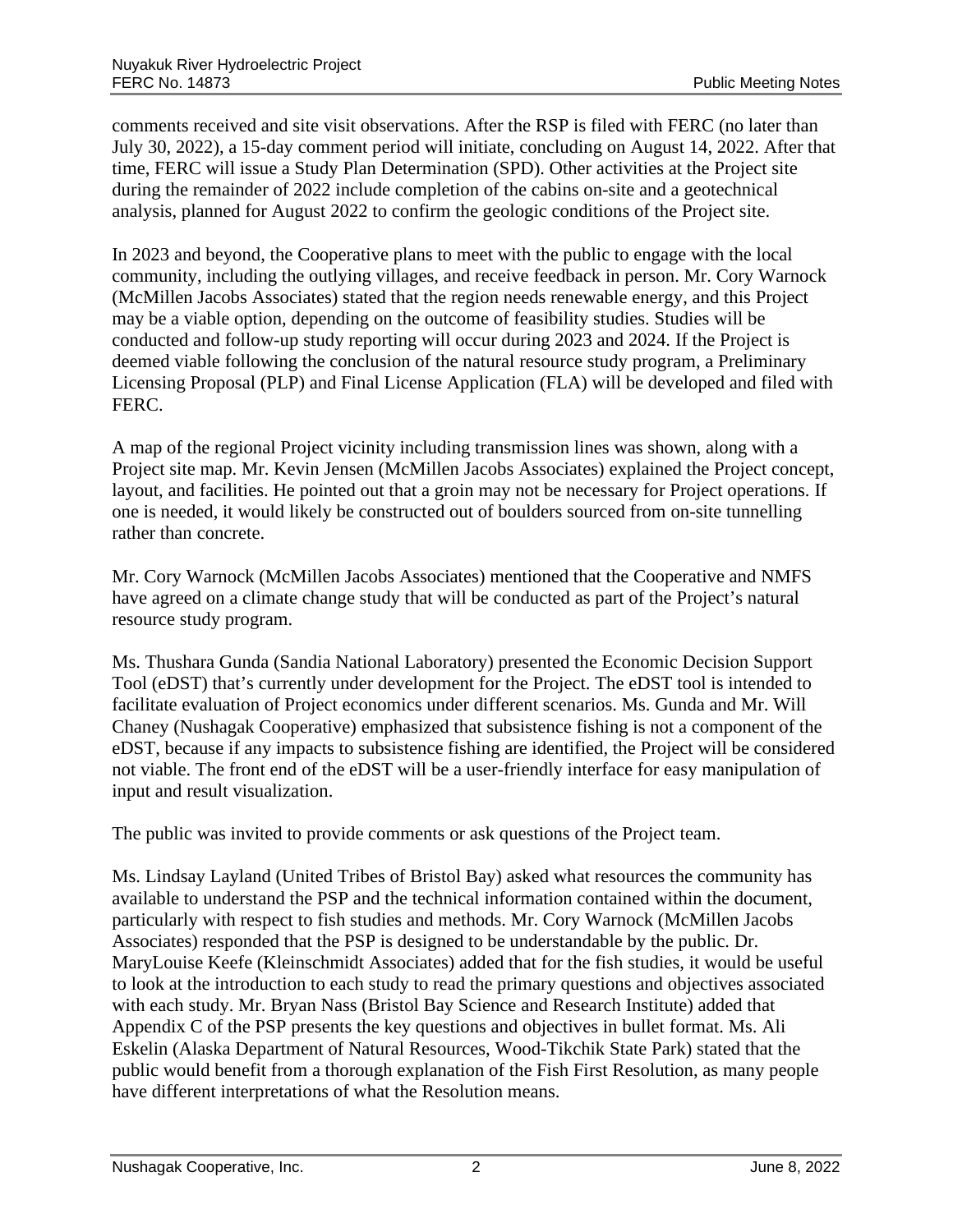comments received and site visit observations. After the RSP is filed with FERC (no later than July 30, 2022), a 15-day comment period will initiate, concluding on August 14, 2022. After that time, FERC will issue a Study Plan Determination (SPD). Other activities at the Project site during the remainder of 2022 include completion of the cabins on-site and a geotechnical analysis, planned for August 2022 to confirm the geologic conditions of the Project site.

In 2023 and beyond, the Cooperative plans to meet with the public to engage with the local community, including the outlying villages, and receive feedback in person. Mr. Cory Warnock (McMillen Jacobs Associates) stated that the region needs renewable energy, and this Project may be a viable option, depending on the outcome of feasibility studies. Studies will be conducted and follow-up study reporting will occur during 2023 and 2024. If the Project is deemed viable following the conclusion of the natural resource study program, a Preliminary Licensing Proposal (PLP) and Final License Application (FLA) will be developed and filed with FERC.

A map of the regional Project vicinity including transmission lines was shown, along with a Project site map. Mr. Kevin Jensen (McMillen Jacobs Associates) explained the Project concept, layout, and facilities. He pointed out that a groin may not be necessary for Project operations. If one is needed, it would likely be constructed out of boulders sourced from on-site tunnelling rather than concrete.

Mr. Cory Warnock (McMillen Jacobs Associates) mentioned that the Cooperative and NMFS have agreed on a climate change study that will be conducted as part of the Project's natural resource study program.

Ms. Thushara Gunda (Sandia National Laboratory) presented the Economic Decision Support Tool (eDST) that's currently under development for the Project. The eDST tool is intended to facilitate evaluation of Project economics under different scenarios. Ms. Gunda and Mr. Will Chaney (Nushagak Cooperative) emphasized that subsistence fishing is not a component of the eDST, because if any impacts to subsistence fishing are identified, the Project will be considered not viable. The front end of the eDST will be a user-friendly interface for easy manipulation of input and result visualization.

The public was invited to provide comments or ask questions of the Project team.

Ms. Lindsay Layland (United Tribes of Bristol Bay) asked what resources the community has available to understand the PSP and the technical information contained within the document, particularly with respect to fish studies and methods. Mr. Cory Warnock (McMillen Jacobs Associates) responded that the PSP is designed to be understandable by the public. Dr. MaryLouise Keefe (Kleinschmidt Associates) added that for the fish studies, it would be useful to look at the introduction to each study to read the primary questions and objectives associated with each study. Mr. Bryan Nass (Bristol Bay Science and Research Institute) added that Appendix C of the PSP presents the key questions and objectives in bullet format. Ms. Ali Eskelin (Alaska Department of Natural Resources, Wood-Tikchik State Park) stated that the public would benefit from a thorough explanation of the Fish First Resolution, as many people have different interpretations of what the Resolution means.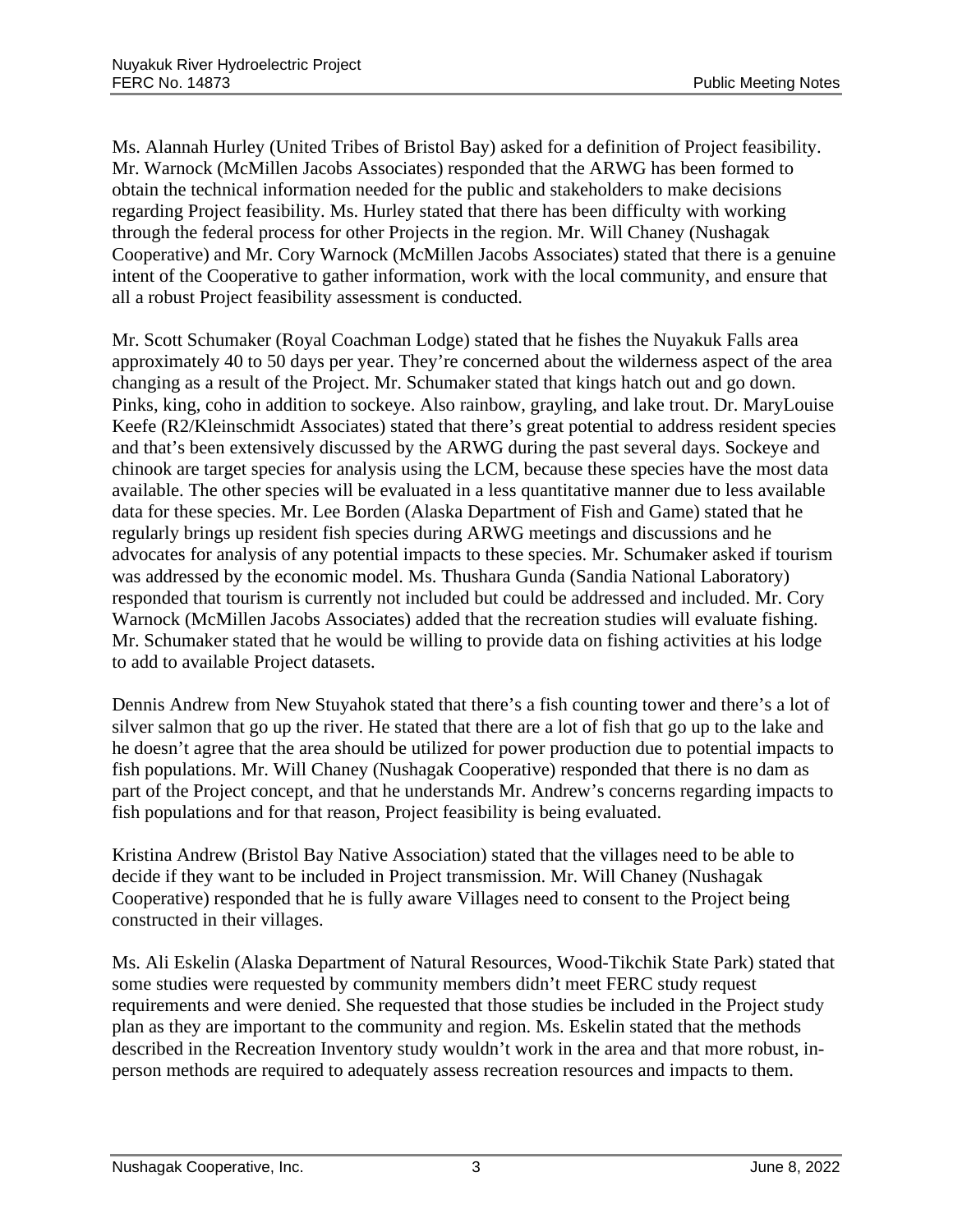Ms. Alannah Hurley (United Tribes of Bristol Bay) asked for a definition of Project feasibility. Mr. Warnock (McMillen Jacobs Associates) responded that the ARWG has been formed to obtain the technical information needed for the public and stakeholders to make decisions regarding Project feasibility. Ms. Hurley stated that there has been difficulty with working through the federal process for other Projects in the region. Mr. Will Chaney (Nushagak Cooperative) and Mr. Cory Warnock (McMillen Jacobs Associates) stated that there is a genuine intent of the Cooperative to gather information, work with the local community, and ensure that all a robust Project feasibility assessment is conducted.

Mr. Scott Schumaker (Royal Coachman Lodge) stated that he fishes the Nuyakuk Falls area approximately 40 to 50 days per year. They're concerned about the wilderness aspect of the area changing as a result of the Project. Mr. Schumaker stated that kings hatch out and go down. Pinks, king, coho in addition to sockeye. Also rainbow, grayling, and lake trout. Dr. MaryLouise Keefe (R2/Kleinschmidt Associates) stated that there's great potential to address resident species and that's been extensively discussed by the ARWG during the past several days. Sockeye and chinook are target species for analysis using the LCM, because these species have the most data available. The other species will be evaluated in a less quantitative manner due to less available data for these species. Mr. Lee Borden (Alaska Department of Fish and Game) stated that he regularly brings up resident fish species during ARWG meetings and discussions and he advocates for analysis of any potential impacts to these species. Mr. Schumaker asked if tourism was addressed by the economic model. Ms. Thushara Gunda (Sandia National Laboratory) responded that tourism is currently not included but could be addressed and included. Mr. Cory Warnock (McMillen Jacobs Associates) added that the recreation studies will evaluate fishing. Mr. Schumaker stated that he would be willing to provide data on fishing activities at his lodge to add to available Project datasets.

Dennis Andrew from New Stuyahok stated that there's a fish counting tower and there's a lot of silver salmon that go up the river. He stated that there are a lot of fish that go up to the lake and he doesn't agree that the area should be utilized for power production due to potential impacts to fish populations. Mr. Will Chaney (Nushagak Cooperative) responded that there is no dam as part of the Project concept, and that he understands Mr. Andrew's concerns regarding impacts to fish populations and for that reason, Project feasibility is being evaluated.

Kristina Andrew (Bristol Bay Native Association) stated that the villages need to be able to decide if they want to be included in Project transmission. Mr. Will Chaney (Nushagak Cooperative) responded that he is fully aware Villages need to consent to the Project being constructed in their villages.

Ms. Ali Eskelin (Alaska Department of Natural Resources, Wood-Tikchik State Park) stated that some studies were requested by community members didn't meet FERC study request requirements and were denied. She requested that those studies be included in the Project study plan as they are important to the community and region. Ms. Eskelin stated that the methods described in the Recreation Inventory study wouldn't work in the area and that more robust, inperson methods are required to adequately assess recreation resources and impacts to them.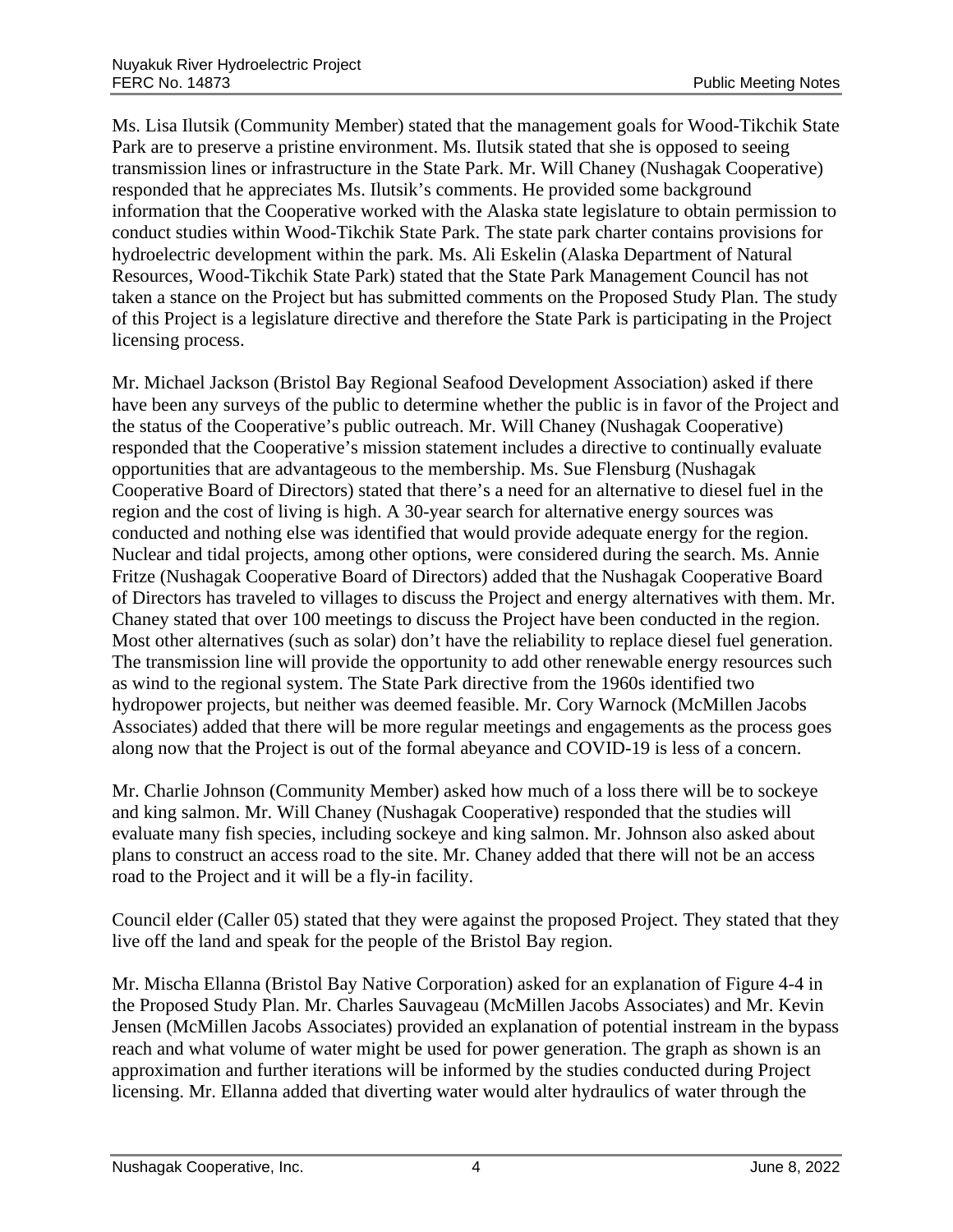Ms. Lisa Ilutsik (Community Member) stated that the management goals for Wood-Tikchik State Park are to preserve a pristine environment. Ms. Ilutsik stated that she is opposed to seeing transmission lines or infrastructure in the State Park. Mr. Will Chaney (Nushagak Cooperative) responded that he appreciates Ms. Ilutsik's comments. He provided some background information that the Cooperative worked with the Alaska state legislature to obtain permission to conduct studies within Wood-Tikchik State Park. The state park charter contains provisions for hydroelectric development within the park. Ms. Ali Eskelin (Alaska Department of Natural Resources, Wood-Tikchik State Park) stated that the State Park Management Council has not taken a stance on the Project but has submitted comments on the Proposed Study Plan. The study of this Project is a legislature directive and therefore the State Park is participating in the Project licensing process.

Mr. Michael Jackson (Bristol Bay Regional Seafood Development Association) asked if there have been any surveys of the public to determine whether the public is in favor of the Project and the status of the Cooperative's public outreach. Mr. Will Chaney (Nushagak Cooperative) responded that the Cooperative's mission statement includes a directive to continually evaluate opportunities that are advantageous to the membership. Ms. Sue Flensburg (Nushagak Cooperative Board of Directors) stated that there's a need for an alternative to diesel fuel in the region and the cost of living is high. A 30-year search for alternative energy sources was conducted and nothing else was identified that would provide adequate energy for the region. Nuclear and tidal projects, among other options, were considered during the search. Ms. Annie Fritze (Nushagak Cooperative Board of Directors) added that the Nushagak Cooperative Board of Directors has traveled to villages to discuss the Project and energy alternatives with them. Mr. Chaney stated that over 100 meetings to discuss the Project have been conducted in the region. Most other alternatives (such as solar) don't have the reliability to replace diesel fuel generation. The transmission line will provide the opportunity to add other renewable energy resources such as wind to the regional system. The State Park directive from the 1960s identified two hydropower projects, but neither was deemed feasible. Mr. Cory Warnock (McMillen Jacobs Associates) added that there will be more regular meetings and engagements as the process goes along now that the Project is out of the formal abeyance and COVID-19 is less of a concern.

Mr. Charlie Johnson (Community Member) asked how much of a loss there will be to sockeye and king salmon. Mr. Will Chaney (Nushagak Cooperative) responded that the studies will evaluate many fish species, including sockeye and king salmon. Mr. Johnson also asked about plans to construct an access road to the site. Mr. Chaney added that there will not be an access road to the Project and it will be a fly-in facility.

Council elder (Caller 05) stated that they were against the proposed Project. They stated that they live off the land and speak for the people of the Bristol Bay region.

Mr. Mischa Ellanna (Bristol Bay Native Corporation) asked for an explanation of Figure 4-4 in the Proposed Study Plan. Mr. Charles Sauvageau (McMillen Jacobs Associates) and Mr. Kevin Jensen (McMillen Jacobs Associates) provided an explanation of potential instream in the bypass reach and what volume of water might be used for power generation. The graph as shown is an approximation and further iterations will be informed by the studies conducted during Project licensing. Mr. Ellanna added that diverting water would alter hydraulics of water through the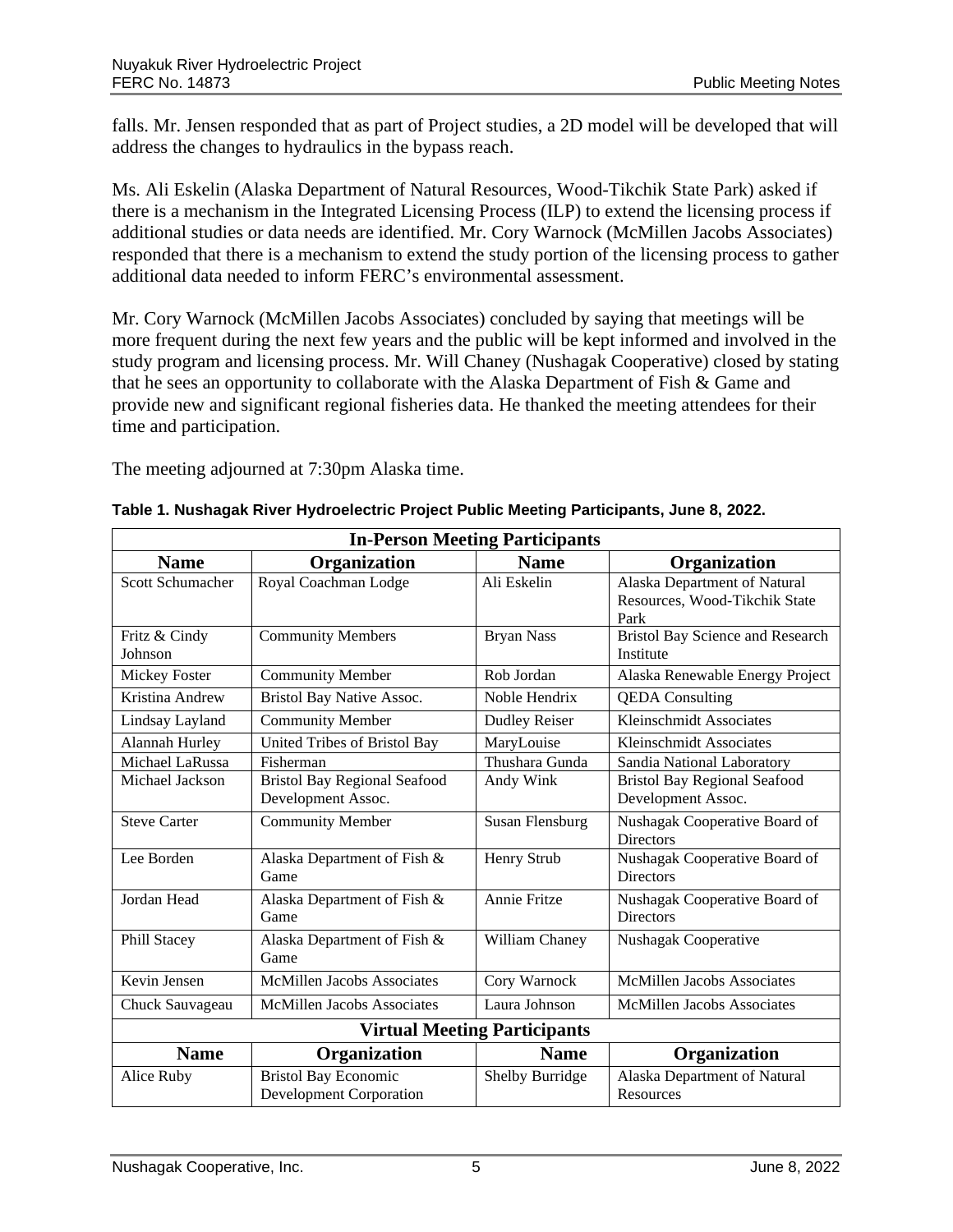falls. Mr. Jensen responded that as part of Project studies, a 2D model will be developed that will address the changes to hydraulics in the bypass reach.

Ms. Ali Eskelin (Alaska Department of Natural Resources, Wood-Tikchik State Park) asked if there is a mechanism in the Integrated Licensing Process (ILP) to extend the licensing process if additional studies or data needs are identified. Mr. Cory Warnock (McMillen Jacobs Associates) responded that there is a mechanism to extend the study portion of the licensing process to gather additional data needed to inform FERC's environmental assessment.

Mr. Cory Warnock (McMillen Jacobs Associates) concluded by saying that meetings will be more frequent during the next few years and the public will be kept informed and involved in the study program and licensing process. Mr. Will Chaney (Nushagak Cooperative) closed by stating that he sees an opportunity to collaborate with the Alaska Department of Fish & Game and provide new and significant regional fisheries data. He thanked the meeting attendees for their time and participation.

The meeting adjourned at 7:30pm Alaska time.

| <b>In-Person Meeting Participants</b> |                                                               |                      |                                                                       |  |  |
|---------------------------------------|---------------------------------------------------------------|----------------------|-----------------------------------------------------------------------|--|--|
| <b>Name</b>                           | Organization                                                  | <b>Name</b>          | Organization                                                          |  |  |
| Scott Schumacher                      | Royal Coachman Lodge                                          | Ali Eskelin          | Alaska Department of Natural<br>Resources, Wood-Tikchik State<br>Park |  |  |
| Fritz & Cindy<br>Johnson              | <b>Community Members</b>                                      | <b>Bryan Nass</b>    | <b>Bristol Bay Science and Research</b><br>Institute                  |  |  |
| Mickey Foster                         | <b>Community Member</b>                                       | Rob Jordan           | Alaska Renewable Energy Project                                       |  |  |
| Kristina Andrew                       | Bristol Bay Native Assoc.                                     | Noble Hendrix        | <b>QEDA</b> Consulting                                                |  |  |
| Lindsay Layland                       | <b>Community Member</b>                                       | <b>Dudley Reiser</b> | Kleinschmidt Associates                                               |  |  |
| Alannah Hurley                        | United Tribes of Bristol Bay                                  | MaryLouise           | Kleinschmidt Associates                                               |  |  |
| Michael LaRussa                       | Fisherman                                                     | Thushara Gunda       | Sandia National Laboratory                                            |  |  |
| Michael Jackson                       | <b>Bristol Bay Regional Seafood</b><br>Development Assoc.     | Andy Wink            | <b>Bristol Bay Regional Seafood</b><br>Development Assoc.             |  |  |
| <b>Steve Carter</b>                   | <b>Community Member</b>                                       | Susan Flensburg      | Nushagak Cooperative Board of<br><b>Directors</b>                     |  |  |
| Lee Borden                            | Alaska Department of Fish &<br>Game                           | Henry Strub          | Nushagak Cooperative Board of<br><b>Directors</b>                     |  |  |
| Jordan Head                           | Alaska Department of Fish &<br>Game                           | Annie Fritze         | Nushagak Cooperative Board of<br><b>Directors</b>                     |  |  |
| Phill Stacey                          | Alaska Department of Fish &<br>Game                           | William Chaney       | Nushagak Cooperative                                                  |  |  |
| Kevin Jensen                          | <b>McMillen Jacobs Associates</b>                             | Cory Warnock         | <b>McMillen Jacobs Associates</b>                                     |  |  |
| Chuck Sauvageau                       | <b>McMillen Jacobs Associates</b>                             | Laura Johnson        | <b>McMillen Jacobs Associates</b>                                     |  |  |
| <b>Virtual Meeting Participants</b>   |                                                               |                      |                                                                       |  |  |
| <b>Name</b>                           | Organization                                                  | <b>Name</b>          | Organization                                                          |  |  |
| Alice Ruby                            | <b>Bristol Bay Economic</b><br><b>Development Corporation</b> | Shelby Burridge      | Alaska Department of Natural<br>Resources                             |  |  |